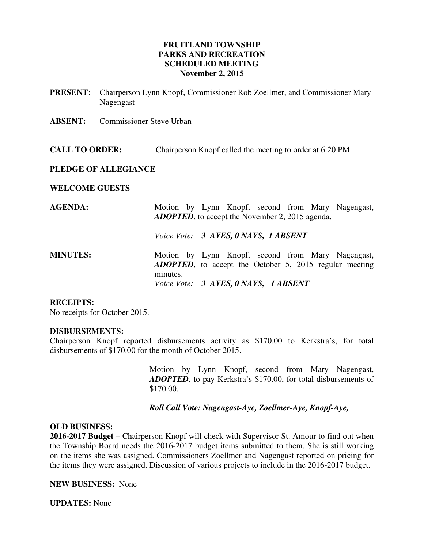## **FRUITLAND TOWNSHIP PARKS AND RECREATION SCHEDULED MEETING November 2, 2015**

- **PRESENT:** Chairperson Lynn Knopf, Commissioner Rob Zoellmer, and Commissioner Mary Nagengast
- **ABSENT:** Commissioner Steve Urban

**CALL TO ORDER:** Chairperson Knopf called the meeting to order at 6:20 PM.

### **PLEDGE OF ALLEGIANCE**

#### **WELCOME GUESTS**

| <b>AGENDA:</b>  |          | Motion by Lynn Knopf, second from Mary Nagengast,<br><b>ADOPTED</b> , to accept the November 2, 2015 agenda.        |
|-----------------|----------|---------------------------------------------------------------------------------------------------------------------|
|                 |          | Voice Vote: 3 AYES, 0 NAYS, 1 ABSENT                                                                                |
| <b>MINUTES:</b> | minutes. | Motion by Lynn Knopf, second from Mary Nagengast,<br><b>ADOPTED</b> , to accept the October 5, 2015 regular meeting |
|                 |          | Voice Vote: 3 AYES, 0 NAYS, 1 ABSENT                                                                                |

### **RECEIPTS:**

No receipts for October 2015.

#### **DISBURSEMENTS:**

Chairperson Knopf reported disbursements activity as \$170.00 to Kerkstra's, for total disbursements of \$170.00 for the month of October 2015.

> Motion by Lynn Knopf, second from Mary Nagengast, *ADOPTED*, to pay Kerkstra's \$170.00, for total disbursements of \$170.00.

 *Roll Call Vote: Nagengast-Aye, Zoellmer-Aye, Knopf-Aye,* 

## **OLD BUSINESS:**

**2016-2017 Budget –** Chairperson Knopf will check with Supervisor St. Amour to find out when the Township Board needs the 2016-2017 budget items submitted to them. She is still working on the items she was assigned. Commissioners Zoellmer and Nagengast reported on pricing for the items they were assigned. Discussion of various projects to include in the 2016-2017 budget.

**NEW BUSINESS:** None

**UPDATES:** None